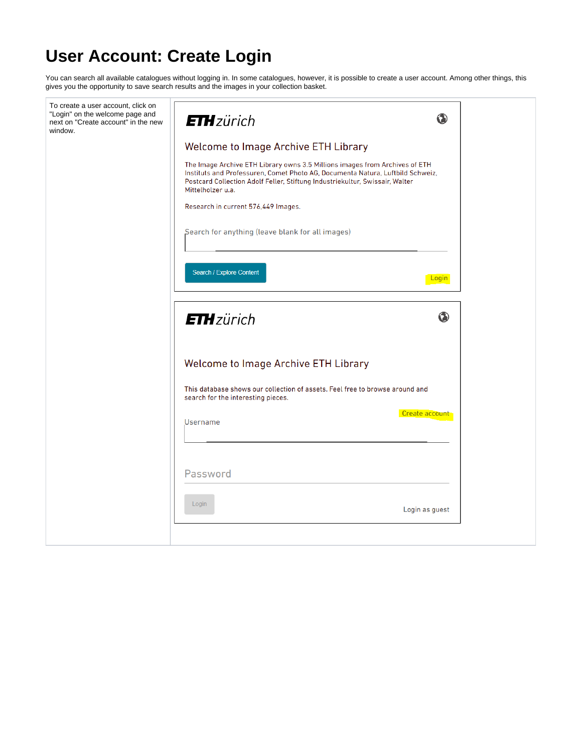## **User Account: Create Login**

You can search all available catalogues without logging in. In some catalogues, however, it is possible to create a user account. Among other things, this gives you the opportunity to save search results and the images in your collection basket.

| To create a user account, click on<br>"Login" on the welcome page and<br>next on "Create account" in the new<br>window. | <b>ETH</b> zürich                                                                                                                                                                                                                                                  | ◑            |
|-------------------------------------------------------------------------------------------------------------------------|--------------------------------------------------------------------------------------------------------------------------------------------------------------------------------------------------------------------------------------------------------------------|--------------|
|                                                                                                                         | Welcome to Image Archive ETH Library                                                                                                                                                                                                                               |              |
|                                                                                                                         | The Image Archive ETH Library owns 3.5 Millions images from Archives of ETH<br>Instituts and Professuren, Comet Photo AG, Documenta Natura, Luftbild Schweiz,<br>Postcard Collection Adolf Feller, Stiftung Industriekultur, Swissair, Walter<br>Mittelholzer u.a. |              |
|                                                                                                                         | Research in current 576,449 Images.                                                                                                                                                                                                                                |              |
|                                                                                                                         | Search for anything (leave blank for all images)                                                                                                                                                                                                                   |              |
|                                                                                                                         | Search / Explore Content                                                                                                                                                                                                                                           | <u>Login</u> |
|                                                                                                                         | <b>ETH</b> zürich                                                                                                                                                                                                                                                  | $\bf \Phi$   |
|                                                                                                                         | Welcome to Image Archive ETH Library                                                                                                                                                                                                                               |              |
|                                                                                                                         |                                                                                                                                                                                                                                                                    |              |
|                                                                                                                         | This database shows our collection of assets. Feel free to browse around and<br>search for the interesting pieces.                                                                                                                                                 |              |
|                                                                                                                         | Create account<br>Username                                                                                                                                                                                                                                         |              |
|                                                                                                                         |                                                                                                                                                                                                                                                                    |              |
|                                                                                                                         | Password                                                                                                                                                                                                                                                           |              |
|                                                                                                                         | Login<br>Login as guest                                                                                                                                                                                                                                            |              |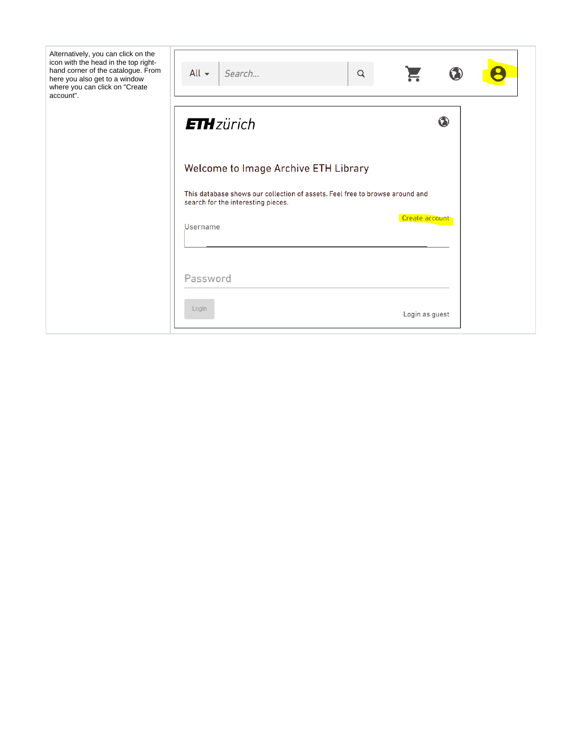| Alternatively, you can click on the<br>icon with the head in the top right-<br>hand corner of the catalogue. From<br>here you also get to a window<br>where you can click on "Create<br>account". | All $\sim$<br>Search                                                                                               | Q |                |  |
|---------------------------------------------------------------------------------------------------------------------------------------------------------------------------------------------------|--------------------------------------------------------------------------------------------------------------------|---|----------------|--|
|                                                                                                                                                                                                   | <b>ETH</b> zürich                                                                                                  |   | $\bf \Phi$     |  |
|                                                                                                                                                                                                   | Welcome to Image Archive ETH Library                                                                               |   |                |  |
|                                                                                                                                                                                                   | This database shows our collection of assets. Feel free to browse around and<br>search for the interesting pieces. |   |                |  |
|                                                                                                                                                                                                   | Username                                                                                                           |   | Create account |  |
|                                                                                                                                                                                                   | Password                                                                                                           |   |                |  |
|                                                                                                                                                                                                   | Login                                                                                                              |   | Login as guest |  |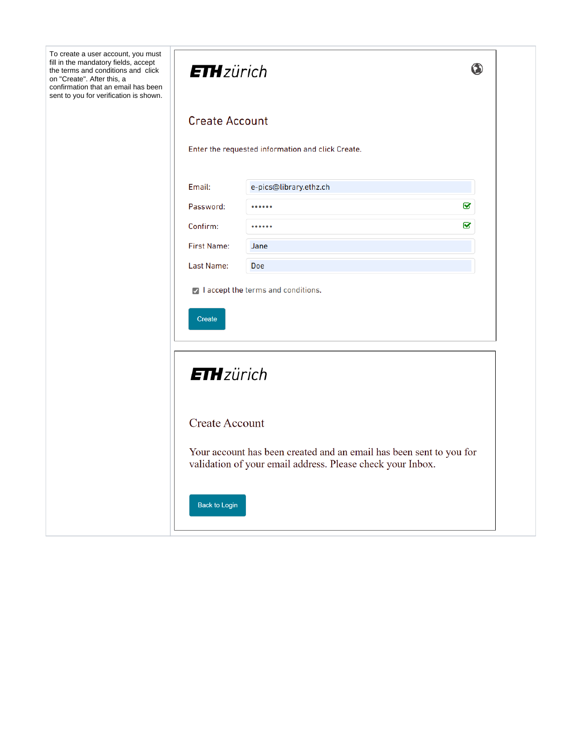| To create a user account, you must<br>fill in the mandatory fields, accept<br>the terms and conditions and click<br>on "Create". After this, a<br>confirmation that an email has been<br>sent to you for verification is shown. | <b>ETH</b> zürich           |                                                                                                                                   | $\bf \bm{\odot}$        |
|---------------------------------------------------------------------------------------------------------------------------------------------------------------------------------------------------------------------------------|-----------------------------|-----------------------------------------------------------------------------------------------------------------------------------|-------------------------|
|                                                                                                                                                                                                                                 | <b>Create Account</b>       |                                                                                                                                   |                         |
|                                                                                                                                                                                                                                 |                             | Enter the requested information and click Create.                                                                                 |                         |
|                                                                                                                                                                                                                                 | Email:                      | e-pics@library.ethz.ch                                                                                                            |                         |
|                                                                                                                                                                                                                                 | Password:                   |                                                                                                                                   | $\overline{\mathbf{S}}$ |
|                                                                                                                                                                                                                                 | Confirm:                    |                                                                                                                                   | Q                       |
|                                                                                                                                                                                                                                 | <b>First Name:</b>          | Jane                                                                                                                              |                         |
|                                                                                                                                                                                                                                 | Last Name:                  | <b>Doe</b>                                                                                                                        |                         |
|                                                                                                                                                                                                                                 | Create<br><b>ETH</b> zürich |                                                                                                                                   |                         |
|                                                                                                                                                                                                                                 | <b>Create Account</b>       |                                                                                                                                   |                         |
|                                                                                                                                                                                                                                 |                             | Your account has been created and an email has been sent to you for<br>validation of your email address. Please check your Inbox. |                         |
|                                                                                                                                                                                                                                 |                             |                                                                                                                                   |                         |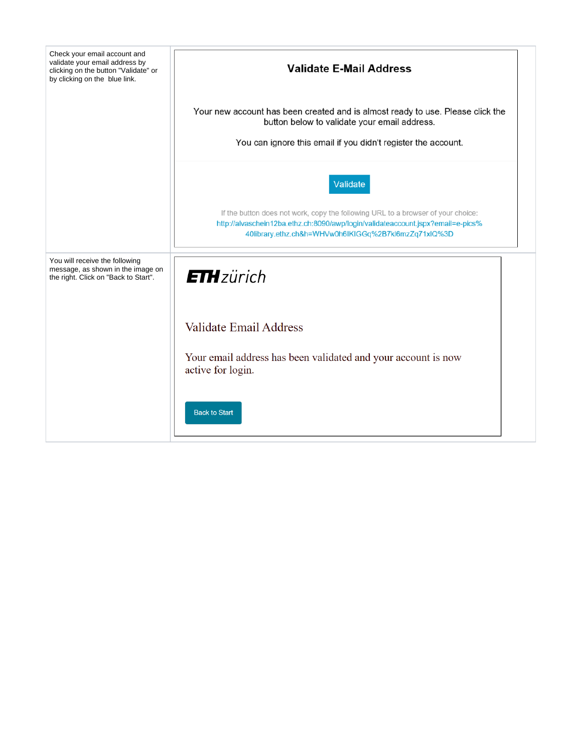| Check your email account and                                                                                |                                                                                                                                                                                                                             |  |  |
|-------------------------------------------------------------------------------------------------------------|-----------------------------------------------------------------------------------------------------------------------------------------------------------------------------------------------------------------------------|--|--|
| validate your email address by<br>clicking on the button "Validate" or<br>by clicking on the blue link.     | <b>Validate E-Mail Address</b>                                                                                                                                                                                              |  |  |
|                                                                                                             | Your new account has been created and is almost ready to use. Please click the<br>button below to validate your email address.<br>You can ignore this email if you didn't register the account.                             |  |  |
|                                                                                                             |                                                                                                                                                                                                                             |  |  |
|                                                                                                             | Validate                                                                                                                                                                                                                    |  |  |
|                                                                                                             | If the button does not work, copy the following URL to a browser of your choice:<br>http://alvaschein12ba.ethz.ch:8090/awp/login/validateaccount.jspx?email=e-pics%<br>40library.ethz.ch&h=WHVw0h6IKIGGq%2B7kl6mzZq71xIQ%3D |  |  |
| You will receive the following<br>message, as shown in the image on<br>the right. Click on "Back to Start". | <b>ETH</b> zürich                                                                                                                                                                                                           |  |  |
|                                                                                                             | <b>Validate Email Address</b>                                                                                                                                                                                               |  |  |
|                                                                                                             | Your email address has been validated and your account is now<br>active for login.                                                                                                                                          |  |  |
|                                                                                                             | <b>Back to Start</b>                                                                                                                                                                                                        |  |  |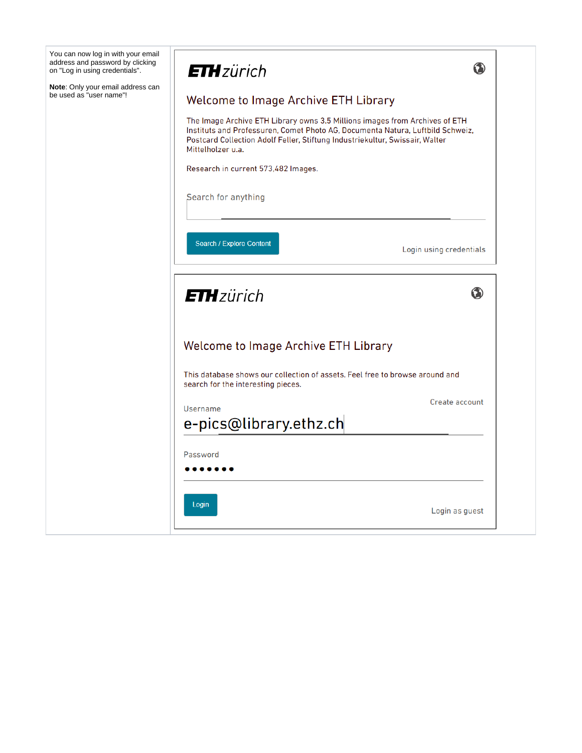| You can now log in with your email<br>address and password by clicking<br>on "Log in using credentials". | ◑<br><b>ETH</b> zürich                                                                                                                                                                                                                                             |
|----------------------------------------------------------------------------------------------------------|--------------------------------------------------------------------------------------------------------------------------------------------------------------------------------------------------------------------------------------------------------------------|
| Note: Only your email address can<br>be used as "user name"!                                             | <b>Welcome to Image Archive ETH Library</b>                                                                                                                                                                                                                        |
|                                                                                                          | The Image Archive ETH Library owns 3.5 Millions images from Archives of ETH<br>Instituts and Professuren, Comet Photo AG, Documenta Natura, Luftbild Schweiz,<br>Postcard Collection Adolf Feller, Stiftung Industriekultur, Swissair, Walter<br>Mittelholzer u.a. |
|                                                                                                          | Research in current 573,482 Images.                                                                                                                                                                                                                                |
|                                                                                                          | Search for anything                                                                                                                                                                                                                                                |
|                                                                                                          |                                                                                                                                                                                                                                                                    |
|                                                                                                          | Search / Explore Content<br>Login using credentials                                                                                                                                                                                                                |
|                                                                                                          |                                                                                                                                                                                                                                                                    |
|                                                                                                          |                                                                                                                                                                                                                                                                    |
|                                                                                                          | ◑<br><b>ETH</b> zürich                                                                                                                                                                                                                                             |
|                                                                                                          | <b>Welcome to Image Archive ETH Library</b>                                                                                                                                                                                                                        |
|                                                                                                          | This database shows our collection of assets. Feel free to browse around and<br>search for the interesting pieces.                                                                                                                                                 |
|                                                                                                          | Create account<br>Username                                                                                                                                                                                                                                         |
|                                                                                                          | e-pics@library.ethz.ch                                                                                                                                                                                                                                             |
|                                                                                                          |                                                                                                                                                                                                                                                                    |
|                                                                                                          | Password                                                                                                                                                                                                                                                           |
|                                                                                                          |                                                                                                                                                                                                                                                                    |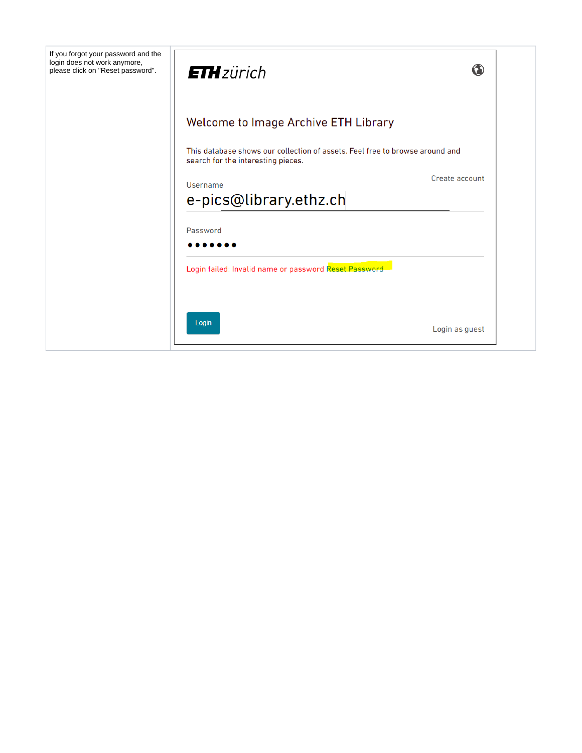| If you forgot your password and the<br>login does not work anymore,<br>please click on "Reset password". | <b>ETH</b> zürich                                                                                                  | ◑              |
|----------------------------------------------------------------------------------------------------------|--------------------------------------------------------------------------------------------------------------------|----------------|
|                                                                                                          | <b>Welcome to Image Archive ETH Library</b>                                                                        |                |
|                                                                                                          | This database shows our collection of assets. Feel free to browse around and<br>search for the interesting pieces. |                |
|                                                                                                          | Username<br>e-pics@library.ethz.ch                                                                                 | Create account |
|                                                                                                          | Password                                                                                                           |                |
|                                                                                                          | Login failed: Invalid name or password Reset Password                                                              |                |
|                                                                                                          |                                                                                                                    |                |
|                                                                                                          | Login                                                                                                              | Login as guest |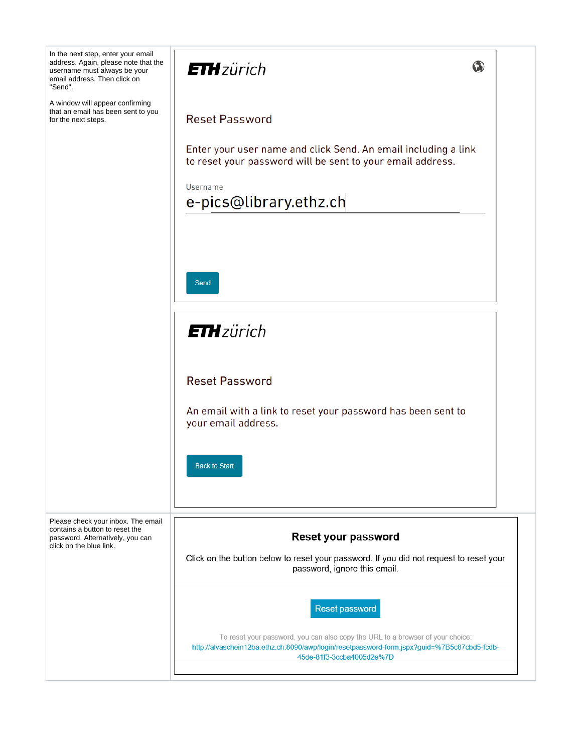| In the next step, enter your email<br>address. Again, please note that the<br>username must always be your<br>email address. Then click on<br>"Send". | <b>ETH</b> zürich<br>$\bullet$                                                                                                                                                                             |
|-------------------------------------------------------------------------------------------------------------------------------------------------------|------------------------------------------------------------------------------------------------------------------------------------------------------------------------------------------------------------|
| A window will appear confirming<br>that an email has been sent to you<br>for the next steps.                                                          | <b>Reset Password</b>                                                                                                                                                                                      |
|                                                                                                                                                       | Enter your user name and click Send. An email including a link<br>to reset your password will be sent to your email address.                                                                               |
|                                                                                                                                                       | Username<br>e-pics@library.ethz.ch                                                                                                                                                                         |
|                                                                                                                                                       |                                                                                                                                                                                                            |
|                                                                                                                                                       | <b>Send</b>                                                                                                                                                                                                |
|                                                                                                                                                       | <b>ETH</b> zürich                                                                                                                                                                                          |
|                                                                                                                                                       | <b>Reset Password</b>                                                                                                                                                                                      |
|                                                                                                                                                       | An email with a link to reset your password has been sent to<br>your email address.                                                                                                                        |
|                                                                                                                                                       | <b>Back to Start</b>                                                                                                                                                                                       |
| Please check your inbox. The email<br>contains a button to reset the<br>password. Alternatively, you can                                              | Reset your password                                                                                                                                                                                        |
| click on the blue link.                                                                                                                               | Click on the button below to reset your password. If you did not request to reset your<br>password, ignore this email.                                                                                     |
|                                                                                                                                                       | Reset password                                                                                                                                                                                             |
|                                                                                                                                                       | To reset your password, you can also copy the URL to a browser of your choice:<br>http://alvaschein12ba.ethz.ch:8090/awp/login/resetpassword-form.jspx?guid=%7B5c87cbd5-fcdb-<br>45de-81f3-3ccba4005d2e%7D |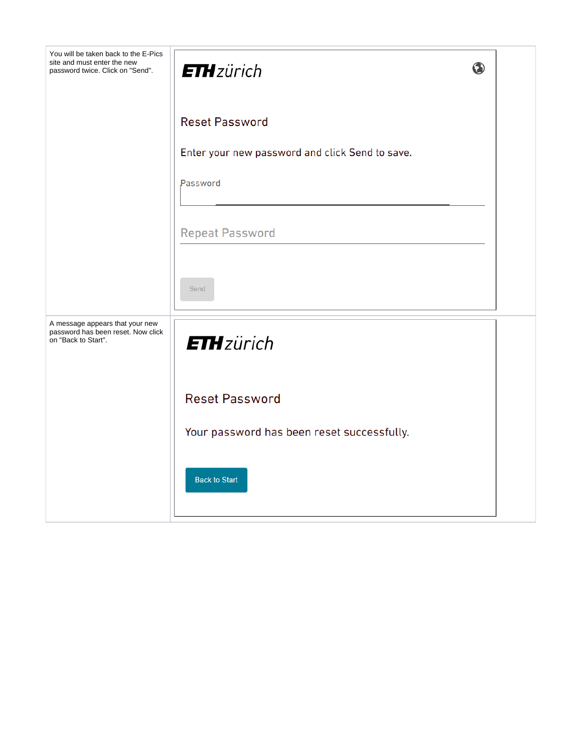| You will be taken back to the E-Pics<br>site and must enter the new<br>password twice. Click on "Send". | <b>ETH</b> zürich                               | $\bullet$ |
|---------------------------------------------------------------------------------------------------------|-------------------------------------------------|-----------|
|                                                                                                         | <b>Reset Password</b>                           |           |
|                                                                                                         | Enter your new password and click Send to save. |           |
|                                                                                                         | Password                                        |           |
|                                                                                                         | <b>Repeat Password</b>                          |           |
|                                                                                                         | Send                                            |           |
| A message appears that your new<br>password has been reset. Now click<br>on "Back to Start".            | <b>ETH</b> zürich                               |           |
|                                                                                                         | <b>Reset Password</b>                           |           |
|                                                                                                         | Your password has been reset successfully.      |           |
|                                                                                                         | <b>Back to Start</b>                            |           |